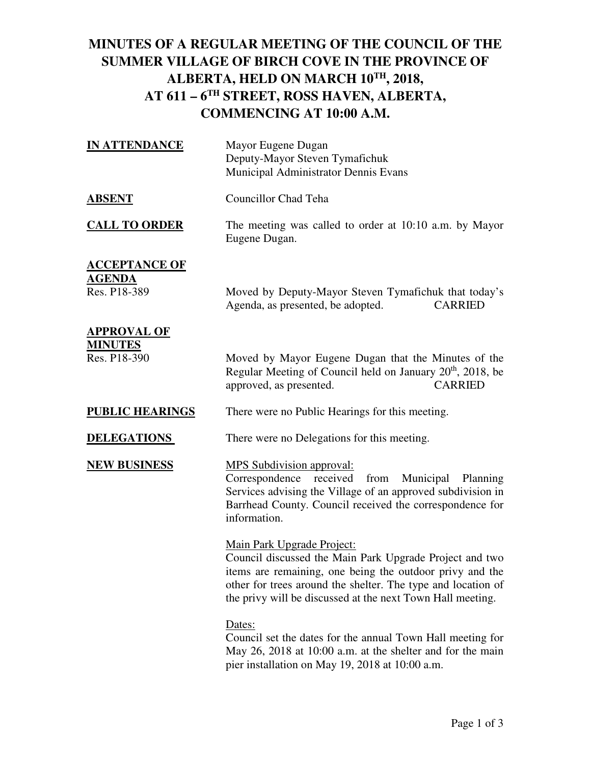# **MINUTES OF A REGULAR MEETING OF THE COUNCIL OF THE SUMMER VILLAGE OF BIRCH COVE IN THE PROVINCE OF ALBERTA, HELD ON MARCH 10TH, 2018, AT 611 – 6TH STREET, ROSS HAVEN, ALBERTA, COMMENCING AT 10:00 A.M.**

| <u>IN ATTENDANCE</u>                                  | Mayor Eugene Dugan<br>Deputy-Mayor Steven Tymafichuk<br>Municipal Administrator Dennis Evans                                                                                                                                                                                           |
|-------------------------------------------------------|----------------------------------------------------------------------------------------------------------------------------------------------------------------------------------------------------------------------------------------------------------------------------------------|
| <b>ABSENT</b>                                         | <b>Councillor Chad Teha</b>                                                                                                                                                                                                                                                            |
| <b>CALL TO ORDER</b>                                  | The meeting was called to order at 10:10 a.m. by Mayor<br>Eugene Dugan.                                                                                                                                                                                                                |
| <u>ACCEPTANCE OF</u><br><u>AGENDA</u><br>Res. P18-389 | Moved by Deputy-Mayor Steven Tymafichuk that today's<br>Agenda, as presented, be adopted.<br><b>CARRIED</b>                                                                                                                                                                            |
| <u>APPROVAL OF</u><br><b>MINUTES</b><br>Res. P18-390  | Moved by Mayor Eugene Dugan that the Minutes of the<br>Regular Meeting of Council held on January 20 <sup>th</sup> , 2018, be<br><b>CARRIED</b><br>approved, as presented.                                                                                                             |
| <u>PUBLIC HEARINGS</u>                                | There were no Public Hearings for this meeting.                                                                                                                                                                                                                                        |
| <b>DELEGATIONS</b>                                    | There were no Delegations for this meeting.                                                                                                                                                                                                                                            |
| <u>NEW BUSINESS</u>                                   | <b>MPS</b> Subdivision approval:<br>Correspondence received from<br>Municipal<br>Planning<br>Services advising the Village of an approved subdivision in<br>Barrhead County. Council received the correspondence for<br>information.                                                   |
|                                                       | <b>Main Park Upgrade Project:</b><br>Council discussed the Main Park Upgrade Project and two<br>items are remaining, one being the outdoor privy and the<br>other for trees around the shelter. The type and location of<br>the privy will be discussed at the next Town Hall meeting. |
|                                                       | Dates:<br>Council set the dates for the annual Town Hall meeting for<br>May 26, 2018 at 10:00 a.m. at the shelter and for the main<br>pier installation on May 19, 2018 at 10:00 a.m.                                                                                                  |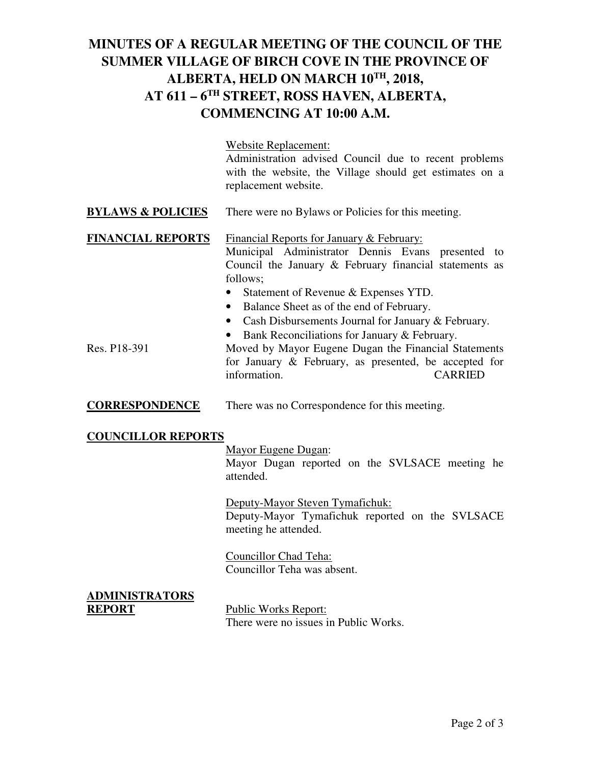# **MINUTES OF A REGULAR MEETING OF THE COUNCIL OF THE SUMMER VILLAGE OF BIRCH COVE IN THE PROVINCE OF ALBERTA, HELD ON MARCH 10TH, 2018, AT 611 – 6TH STREET, ROSS HAVEN, ALBERTA, COMMENCING AT 10:00 A.M.**

 Website Replacement: Administration advised Council due to recent problems with the website, the Village should get estimates on a replacement website. **BYLAWS & POLICIES** There were no Bylaws or Policies for this meeting. **FINANCIAL REPORTS** Financial Reports for January & February: Municipal Administrator Dennis Evans presented to Council the January & February financial statements as follows; • Statement of Revenue & Expenses YTD. • Balance Sheet as of the end of February. • Cash Disbursements Journal for January & February. • Bank Reconciliations for January & February.

Res. P18-391 Moved by Mayor Eugene Dugan the Financial Statements for January & February, as presented, be accepted for information. CARRIED

**CORRESPONDENCE** There was no Correspondence for this meeting.

#### **COUNCILLOR REPORTS**

#### Mayor Eugene Dugan:

 Mayor Dugan reported on the SVLSACE meeting he attended.

 Deputy-Mayor Steven Tymafichuk: Deputy-Mayor Tymafichuk reported on the SVLSACE meeting he attended.

 Councillor Chad Teha: Councillor Teha was absent.

#### **ADMINISTRATORS REPORT** Public Works Report:

There were no issues in Public Works.